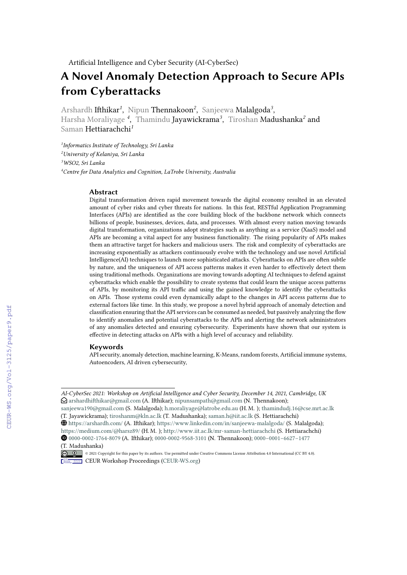# **A Novel Anomaly Detection Approach to Secure APIs from Cyberattacks**

Arshardh Ifthikar*<sup>1</sup>* , Nipun Thennakoon*<sup>2</sup>* , Sanjeewa Malalgoda*<sup>3</sup>* , Harsha Moraliyage *<sup>4</sup>* , Thamindu Jayawickrama*<sup>3</sup>* , Tiroshan Madushanka*<sup>2</sup>* and Saman Hettiarachchi*<sup>1</sup>*

*1 Informatics Institute of Technology, Sri Lanka*

*<sup>2</sup>University of Kelaniya, Sri Lanka*

*<sup>3</sup>WSO2, Sri Lanka*

*<sup>4</sup>Centre for Data Analytics and Cognition, LaTrobe University, Australia*

#### **Abstract**

Digital transformation driven rapid movement towards the digital economy resulted in an elevated amount of cyber risks and cyber threats for nations. In this feat, RESTful Application Programming Interfaces (APIs) are identified as the core building block of the backbone network which connects billions of people, businesses, devices, data, and processes. With almost every nation moving towards digital transformation, organizations adopt strategies such as anything as a service (XaaS) model and APIs are becoming a vital aspect for any business functionality. The rising popularity of APIs makes them an attractive target for hackers and malicious users. The risk and complexity of cyberattacks are increasing exponentially as attackers continuously evolve with the technology and use novel Artificial Intelligence(AI) techniques to launch more sophisticated attacks. Cyberattacks on APIs are often subtle by nature, and the uniqueness of API access patterns makes it even harder to effectively detect them using traditional methods. Organizations are moving towards adopting AI techniques to defend against cyberattacks which enable the possibility to create systems that could learn the unique access patterns of APIs, by monitoring its API traffic and using the gained knowledge to identify the cyberattacks on APIs. Those systems could even dynamically adapt to the changes in API access patterns due to external factors like time. In this study, we propose a novel hybrid approach of anomaly detection and classification ensuring that the API services can be consumed as needed, but passively analyzing the flow to identify anomalies and potential cyberattacks to the APIs and alerting the network administrators of any anomalies detected and ensuring cybersecurity. Experiments have shown that our system is effective in detecting attacks on APIs with a high level of accuracy and reliability.

#### **Keywords**

API security, anomaly detection, machine learning, K-Means, random forests, Artificial immune systems, Autoencoders, AI driven cybersecurity,

*AI-CyberSec 2021: Workshop on Artificial Intelligence and Cyber Security, December 14, 2021, Cambridge, UK*  $\bigcirc$  [arshardhifthikar@gmail.com](mailto:arshardhifthikar@gmail.com) (A. Ifthikar); [nipunsampath@gmail.com](mailto:nipunsampath@gmail.com) (N. Thennakoon);

[sanjeewa190@gmail.com](mailto:sanjeewa190@gmail.com) (S. Malalgoda); [h.moraliyage@latrobe.edu.au](mailto:h.moraliyage@latrobe.edu.au) (H. M. ); [thamindudj.16@cse.mrt.ac.lk](mailto:thamindudj.16@cse.mrt.ac.lk)

<sup>(</sup>T. Jayawickrama); [tiroshanm@kln.ac.lk](mailto:tiroshanm@kln.ac.lk) (T. Madushanka); [saman.h@iit.ac.lk](mailto:saman.h@iit.ac.lk) (S. Hettiarachchi)

ç <https://arshardh.com/> (A. Ifthikar); <https://www.linkedin.com/in/sanjeewa-malalgoda/> (S. Malalgoda);

<https://medium.com/@harsz89/> (H. M. ); <http://www.iit.ac.lk/mr-saman-hettiarachchi> (S. Hettiarachchi) ȉ [0000-0002-1764-8079](https://orcid.org/0000-0002-1764-8079) (A. Ifthikar); [0000-0002-9568-3101](https://orcid.org/0000-0002-9568-3101) (N. Thennakoon); [0000−0001−6627−1477](https://orcid.org/0000−0001−6627−1477) (T. Madushanka)

<sup>© 2021</sup> Copyright for this paper by its authors. Use permitted under Creative Commons License Attribution 4.0 International (CC BY 4.0). **CEUR Workshop [Proceedings](http://ceur-ws.org) [\(CEUR-WS.org](http://ceur-ws.org))**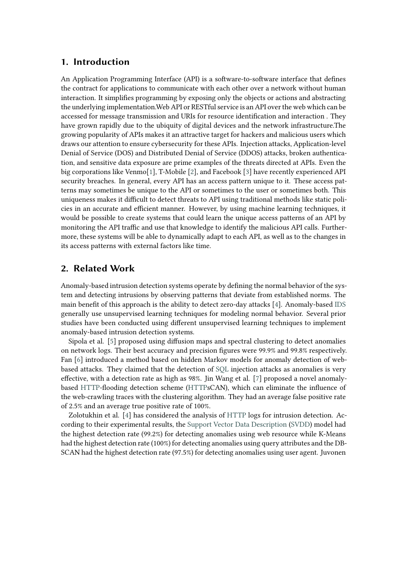## **1. Introduction**

An Application Programming Interface (API) is a software-to-software interface that defines the contract for applications to communicate with each other over a network without human interaction. It simplifies programming by exposing only the objects or actions and abstracting the underlying implementation.Web API or RESTful service is an API over the web which can be accessed for message transmission and URIs for resource identification and interaction . They have grown rapidly due to the ubiquity of digital devices and the network infrastructure.The growing popularity of APIs makes it an attractive target for hackers and malicious users which draws our attention to ensure cybersecurity for these APIs. Injection attacks, Application-level Denial of Service (DOS) and Distributed Denial of Service (DDOS) attacks, broken authentication, and sensitive data exposure are prime examples of the threats directed at APIs. Even the big corporations like Venmo[\[1](#page-13-0)], T-Mobile[[2\]](#page-13-1), and Facebook[[3\]](#page-13-2) have recently experienced API security breaches. In general, every API has an access pattern unique to it. These access patterns may sometimes be unique to the API or sometimes to the user or sometimes both. This uniqueness makes it difficult to detect threats to API using traditional methods like static policies in an accurate and efficient manner. However, by using machine learning techniques, it would be possible to create systems that could learn the unique access patterns of an API by monitoring the API traffic and use that knowledge to identify the malicious API calls. Furthermore, these systems will be able to dynamically adapt to each API, as well as to the changes in its access patterns with external factors like time.

## **2. Related Work**

Anomaly-based intrusion detection systems operate by defining the normal behavior of the system and detecting intrusions by observing patterns that deviate from established norms. The main benefit of this approach is the ability to detect zero-day attacks [\[4](#page-13-3)]. Anomaly-based IDS generally use unsupervised learning techniques for modeling normal behavior. Several prior studies have been conducted using different unsupervised learning techniques to implement anomaly-based intrusion detection systems.

Sipola et al. [\[5](#page-13-4)] proposed using diffusion maps and spectral clustering to detect anomalies on network logs. Their best accuracy and precision figures were 99.9% and 99.8% respectively. Fan[[6\]](#page-13-5) introduced a method based on hidden Markov models for anomaly detection of webbased attacks. They claimed that the detection of SQL injection attacks as anomalies is very effective, with a detection rate as high as 98%. Jin Wang et al. [\[7](#page-13-6)] proposed a novel anomalybased HTTP-flooding detection scheme (HTTPsCAN), which can eliminate the influence of the web-crawling traces with the clustering algorithm. They had an average false positive rate of 2.5% and an average true positive rate of 100%.

Zolotukhin et al. [\[4](#page-13-3)] has considered the analysis of HTTP logs for intrusion detection. According to their experimental results, the Support Vector Data Description (SVDD) model had the highest detection rate (99.2%) for detecting anomalies using web resource while K-Means had the highest detection rate (100%) for detecting anomalies using query attributes and the DB-SCAN had the highest detection rate (97.5%) for detecting anomalies using user agent. Juvonen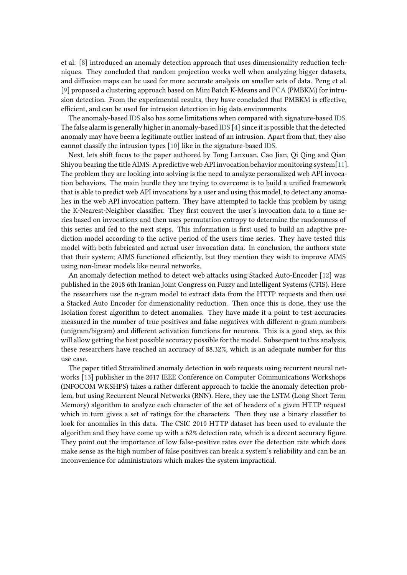et al. [\[8](#page-13-7)] introduced an anomaly detection approach that uses dimensionality reduction techniques. They concluded that random projection works well when analyzing bigger datasets, and diffusion maps can be used for more accurate analysis on smaller sets of data. Peng et al. [\[9](#page-13-8)] proposed a clustering approach based on Mini Batch K-Means and PCA (PMBKM) for intrusion detection. From the experimental results, they have concluded that PMBKM is effective, efficient, and can be used for intrusion detection in big data environments.

The anomaly-based IDS also has some limitations when compared with signature-based IDS. The false alarm is generally higher in anomaly-based IDS [[4\]](#page-13-3) since it is possible that the detected anomaly may have been a legitimate outlier instead of an intrusion. Apart from that, they also cannot classify the intrusion types [\[10](#page-13-9)] like in the signature-based IDS.

Next, lets shift focus to the paper authored by Tong Lanxuan, Cao Jian, Qi Qing and Qian Shiyou bearing the title AIMS: A predictive web API invocation behavior monitoring system[\[11](#page-13-10)]. The problem they are looking into solving is the need to analyze personalized web API invocation behaviors. The main hurdle they are trying to overcome is to build a unified framework that is able to predict web API invocations by a user and using this model, to detect any anomalies in the web API invocation pattern. They have attempted to tackle this problem by using the K-Nearest-Neighbor classifier. They first convert the user's invocation data to a time series based on invocations and then uses permutation entropy to determine the randomness of this series and fed to the next steps. This information is first used to build an adaptive prediction model according to the active period of the users time series. They have tested this model with both fabricated and actual user invocation data. In conclusion, the authors state that their system; AIMS functioned efficiently, but they mention they wish to improve AIMS using non-linear models like neural networks.

An anomaly detection method to detect web attacks using Stacked Auto-Encoder[[12\]](#page-13-11) was published in the 2018 6th Iranian Joint Congress on Fuzzy and Intelligent Systems (CFIS). Here the researchers use the n-gram model to extract data from the HTTP requests and then use a Stacked Auto Encoder for dimensionality reduction. Then once this is done, they use the Isolation forest algorithm to detect anomalies. They have made it a point to test accuracies measured in the number of true positives and false negatives with different n-gram numbers (unigram/bigram) and different activation functions for neurons. This is a good step, as this will allow getting the best possible accuracy possible for the model. Subsequent to this analysis, these researchers have reached an accuracy of 88.32%, which is an adequate number for this use case.

The paper titled Streamlined anomaly detection in web requests using recurrent neural networks [\[13](#page-13-12)] publisher in the 2017 IEEE Conference on Computer Communications Workshops (INFOCOM WKSHPS) takes a rather different approach to tackle the anomaly detection problem, but using Recurrent Neural Networks (RNN). Here, they use the LSTM (Long Short Term Memory) algorithm to analyze each character of the set of headers of a given HTTP request which in turn gives a set of ratings for the characters. Then they use a binary classifier to look for anomalies in this data. The CSIC 2010 HTTP dataset has been used to evaluate the algorithm and they have come up with a 62% detection rate, which is a decent accuracy figure. They point out the importance of low false-positive rates over the detection rate which does make sense as the high number of false positives can break a system's reliability and can be an inconvenience for administrators which makes the system impractical.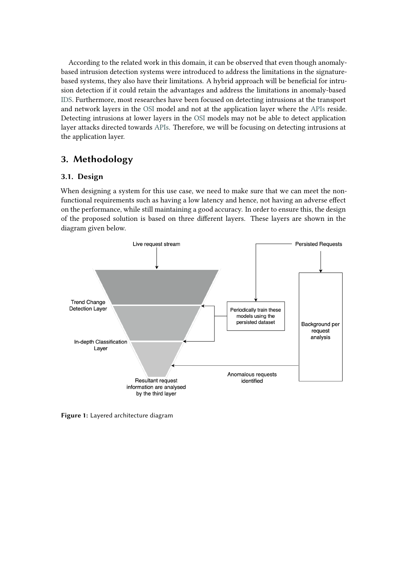According to the related work in this domain, it can be observed that even though anomalybased intrusion detection systems were introduced to address the limitations in the signaturebased systems, they also have their limitations. A hybrid approach will be beneficial for intrusion detection if it could retain the advantages and address the limitations in anomaly-based IDS. Furthermore, most researches have been focused on detecting intrusions at the transport and network layers in the OSI model and not at the application layer where the APIs reside. Detecting intrusions at lower layers in the OSI models may not be able to detect application layer attacks directed towards APIs. Therefore, we will be focusing on detecting intrusions at the application layer.

## **3. Methodology**

## **3.1. Design**

When designing a system for this use case, we need to make sure that we can meet the nonfunctional requirements such as having a low latency and hence, not having an adverse effect on the performance, while still maintaining a good accuracy. In order to ensure this, the design of the proposed solution is based on three different layers. These layers are shown in the diagram given below.



**Figure 1:** Layered architecture diagram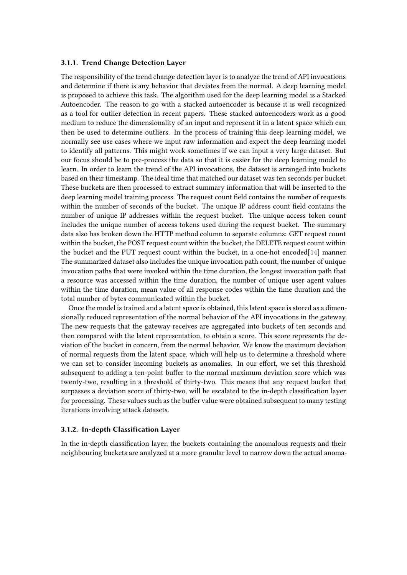#### **3.1.1. Trend Change Detection Layer**

The responsibility of the trend change detection layer is to analyze the trend of API invocations and determine if there is any behavior that deviates from the normal. A deep learning model is proposed to achieve this task. The algorithm used for the deep learning model is a Stacked Autoencoder. The reason to go with a stacked autoencoder is because it is well recognized as a tool for outlier detection in recent papers. These stacked autoencoders work as a good medium to reduce the dimensionality of an input and represent it in a latent space which can then be used to determine outliers. In the process of training this deep learning model, we normally see use cases where we input raw information and expect the deep learning model to identify all patterns. This might work sometimes if we can input a very large dataset. But our focus should be to pre-process the data so that it is easier for the deep learning model to learn. In order to learn the trend of the API invocations, the dataset is arranged into buckets based on their timestamp. The ideal time that matched our dataset was ten seconds per bucket. These buckets are then processed to extract summary information that will be inserted to the deep learning model training process. The request count field contains the number of requests within the number of seconds of the bucket. The unique IP address count field contains the number of unique IP addresses within the request bucket. The unique access token count includes the unique number of access tokens used during the request bucket. The summary data also has broken down the HTTP method column to separate columns: GET request count within the bucket, the POST request count within the bucket, the DELETE request count within the bucket and the PUT request count within the bucket, in a one-hot encoded[[14](#page-13-13)] manner. The summarized dataset also includes the unique invocation path count, the number of unique invocation paths that were invoked within the time duration, the longest invocation path that a resource was accessed within the time duration, the number of unique user agent values within the time duration, mean value of all response codes within the time duration and the total number of bytes communicated within the bucket.

Once the model is trained and a latent space is obtained, this latent space is stored as a dimensionally reduced representation of the normal behavior of the API invocations in the gateway. The new requests that the gateway receives are aggregated into buckets of ten seconds and then compared with the latent representation, to obtain a score. This score represents the deviation of the bucket in concern, from the normal behavior. We know the maximum deviation of normal requests from the latent space, which will help us to determine a threshold where we can set to consider incoming buckets as anomalies. In our effort, we set this threshold subsequent to adding a ten-point buffer to the normal maximum deviation score which was twenty-two, resulting in a threshold of thirty-two. This means that any request bucket that surpasses a deviation score of thirty-two, will be escalated to the in-depth classification layer for processing. These values such as the buffer value were obtained subsequent to many testing iterations involving attack datasets.

#### **3.1.2. In-depth Classification Layer**

In the in-depth classification layer, the buckets containing the anomalous requests and their neighbouring buckets are analyzed at a more granular level to narrow down the actual anoma-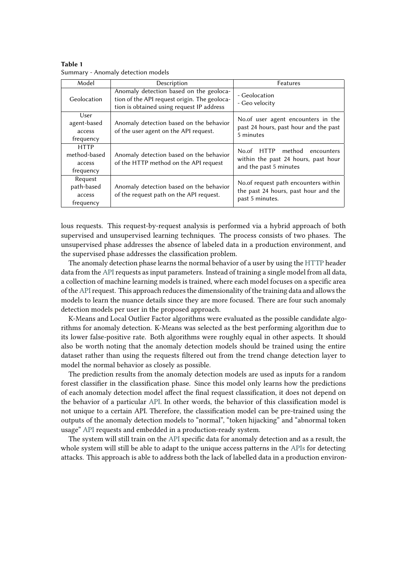| Table 1 |                                    |  |
|---------|------------------------------------|--|
|         | Summary - Anomaly detection models |  |

| Model                                              | Description                                                                                                                          | Features                                                                                            |
|----------------------------------------------------|--------------------------------------------------------------------------------------------------------------------------------------|-----------------------------------------------------------------------------------------------------|
| Geolocation                                        | Anomaly detection based on the geoloca-<br>tion of the API request origin. The geoloca-<br>tion is obtained using request IP address | - Geolocation<br>- Geo velocity                                                                     |
| User<br>agent-based<br>access<br>frequency         | Anomaly detection based on the behavior<br>of the user agent on the API request.                                                     | No. of user agent encounters in the<br>past 24 hours, past hour and the past<br>5 minutes           |
| <b>HTTP</b><br>method-based<br>access<br>frequency | Anomaly detection based on the behavior<br>of the HTTP method on the API request                                                     | method<br>No.of HTTP<br>encounters<br>within the past 24 hours, past hour<br>and the past 5 minutes |
| Request<br>path-based<br>access<br>frequency       | Anomaly detection based on the behavior<br>of the request path on the API request.                                                   | No. of request path encounters within<br>the past 24 hours, past hour and the<br>past 5 minutes.    |

lous requests. This request-by-request analysis is performed via a hybrid approach of both supervised and unsupervised learning techniques. The process consists of two phases. The unsupervised phase addresses the absence of labeled data in a production environment, and the supervised phase addresses the classification problem.

The anomaly detection phase learns the normal behavior of a user by using the HTTP header data from the API requests as input parameters. Instead of training a single model from all data, a collection of machine learning models is trained, where each model focuses on a specific area of theAPIrequest. This approach reduces the dimensionality of the training data and allows the models to learn the nuance details since they are more focused. There are four such anomaly detection models per user in the proposed approach.

K-Means and Local Outlier Factor algorithms were evaluated as the possible candidate algorithms for anomaly detection. K-Means was selected as the best performing algorithm due to its lower false-positive rate. Both algorithms were roughly equal in other aspects. It should also be worth noting that the anomaly detection models should be trained using the entire dataset rather than using the requests filtered out from the trend change detection layer to model the normal behavior as closely as possible.

The prediction results from the anomaly detection models are used as inputs for a random forest classifier in the classification phase. Since this model only learns how the predictions of each anomaly detection model affect the final request classification, it does not depend on the behavior of a particular API. In other words, the behavior of this classification model is not unique to a certain API. Therefore, the classification model can be pre-trained using the outputs of the anomaly detection models to "normal", "token hijacking" and "abnormal token usage" API requests and embedded in a production-ready system.

The system will still train on the API specific data for anomaly detection and as a result, the whole system will still be able to adapt to the unique access patterns in the APIs for detecting attacks. This approach is able to address both the lack of labelled data in a production environ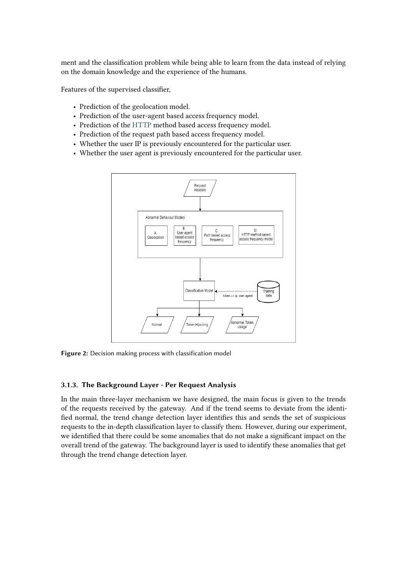ment and the classification problem while being able to learn from the data instead of relying on the domain knowledge and the experience of the humans.

Features of the supervised classifier,

- Prediction of the geolocation model.
- Prediction of the user-agent based access frequency model.
- Prediction of the HTTP method based access frequency model.
- Prediction of the request path based access frequency model.
- Whether the user IP is previously encountered for the particular user.
- Whether the user agent is previously encountered for the particular user.



**Figure 2:** Decision making process with classification model

#### **3.1.3. The Background Layer - Per Request Analysis**

In the main three-layer mechanism we have designed, the main focus is given to the trends of the requests received by the gateway. And if the trend seems to deviate from the identified normal, the trend change detection layer identifies this and sends the set of suspicious requests to the in-depth classification layer to classify them. However, during our experiment, we identified that there could be some anomalies that do not make a significant impact on the overall trend of the gateway. The background layer is used to identify these anomalies that get through the trend change detection layer.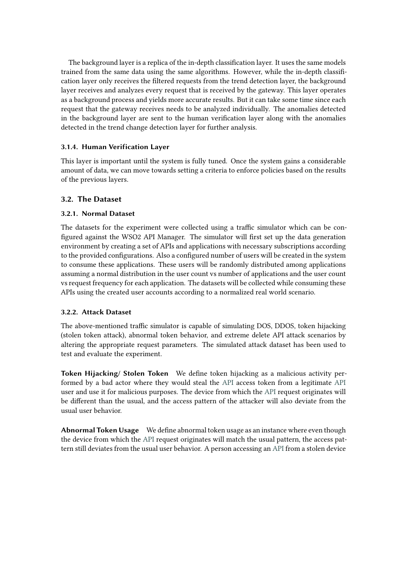The background layer is a replica of the in-depth classification layer. It uses the same models trained from the same data using the same algorithms. However, while the in-depth classification layer only receives the filtered requests from the trend detection layer, the background layer receives and analyzes every request that is received by the gateway. This layer operates as a background process and yields more accurate results. But it can take some time since each request that the gateway receives needs to be analyzed individually. The anomalies detected in the background layer are sent to the human verification layer along with the anomalies detected in the trend change detection layer for further analysis.

### **3.1.4. Human Verification Layer**

This layer is important until the system is fully tuned. Once the system gains a considerable amount of data, we can move towards setting a criteria to enforce policies based on the results of the previous layers.

## **3.2. The Dataset**

### **3.2.1. Normal Dataset**

The datasets for the experiment were collected using a traffic simulator which can be configured against the WSO2 API Manager. The simulator will first set up the data generation environment by creating a set of APIs and applications with necessary subscriptions according to the provided configurations. Also a configured number of users will be created in the system to consume these applications. These users will be randomly distributed among applications assuming a normal distribution in the user count vs number of applications and the user count vs request frequency for each application. The datasets will be collected while consuming these APIs using the created user accounts according to a normalized real world scenario.

### **3.2.2. Attack Dataset**

The above-mentioned traffic simulator is capable of simulating DOS, DDOS, token hijacking (stolen token attack), abnormal token behavior, and extreme delete API attack scenarios by altering the appropriate request parameters. The simulated attack dataset has been used to test and evaluate the experiment.

**Token Hijacking/ Stolen Token** We define token hijacking as a malicious activity performed by a bad actor where they would steal the API access token from a legitimate API user and use it for malicious purposes. The device from which the API request originates will be different than the usual, and the access pattern of the attacker will also deviate from the usual user behavior.

**Abnormal Token Usage** We define abnormal token usage as an instance where even though the device from which the API request originates will match the usual pattern, the access pattern still deviates from the usual user behavior. A person accessing an API from a stolen device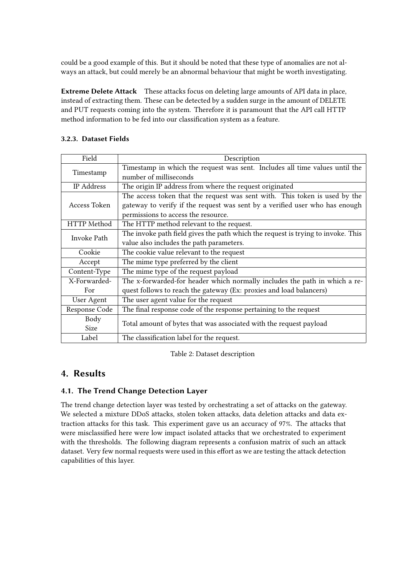could be a good example of this. But it should be noted that these type of anomalies are not always an attack, but could merely be an abnormal behaviour that might be worth investigating.

**Extreme Delete Attack** These attacks focus on deleting large amounts of API data in place, instead of extracting them. These can be detected by a sudden surge in the amount of DELETE and PUT requests coming into the system. Therefore it is paramount that the API call HTTP method information to be fed into our classification system as a feature.

| Field         | Description                                                                      |  |  |  |  |
|---------------|----------------------------------------------------------------------------------|--|--|--|--|
|               | Timestamp in which the request was sent. Includes all time values until the      |  |  |  |  |
| Timestamp     | number of milliseconds                                                           |  |  |  |  |
| IP Address    | The origin IP address from where the request originated                          |  |  |  |  |
|               | The access token that the request was sent with. This token is used by the       |  |  |  |  |
| Access Token  | gateway to verify if the request was sent by a verified user who has enough      |  |  |  |  |
|               | permissions to access the resource.                                              |  |  |  |  |
| HTTP Method   | The HTTP method relevant to the request.                                         |  |  |  |  |
| Invoke Path   | The invoke path field gives the path which the request is trying to invoke. This |  |  |  |  |
|               | value also includes the path parameters.                                         |  |  |  |  |
| Cookie        | The cookie value relevant to the request                                         |  |  |  |  |
| Accept        | The mime type preferred by the client                                            |  |  |  |  |
| Content-Type  | The mime type of the request payload                                             |  |  |  |  |
| X-Forwarded-  | The x-forwarded-for header which normally includes the path in which a re-       |  |  |  |  |
| For           | quest follows to reach the gateway (Ex: proxies and load balancers)              |  |  |  |  |
| User Agent    | The user agent value for the request                                             |  |  |  |  |
| Response Code | The final response code of the response pertaining to the request                |  |  |  |  |
| Body          | Total amount of bytes that was associated with the request payload               |  |  |  |  |
| Size          |                                                                                  |  |  |  |  |
| Label         | The classification label for the request.                                        |  |  |  |  |

### **3.2.3. Dataset Fields**

Table 2: Dataset description

## **4. Results**

## **4.1. The Trend Change Detection Layer**

The trend change detection layer was tested by orchestrating a set of attacks on the gateway. We selected a mixture DDoS attacks, stolen token attacks, data deletion attacks and data extraction attacks for this task. This experiment gave us an accuracy of 97%. The attacks that were misclassified here were low impact isolated attacks that we orchestrated to experiment with the thresholds. The following diagram represents a confusion matrix of such an attack dataset. Very few normal requests were used in this effort as we are testing the attack detection capabilities of this layer.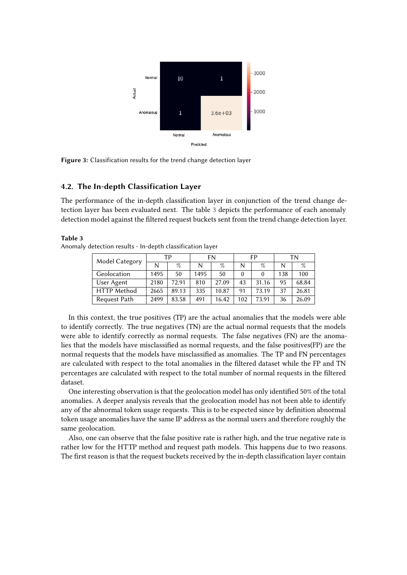

**Figure 3:** Classification results for the trend change detection layer

### **4.2. The In-depth Classification Layer**

The performance of the in-depth classification layer in conjunction of the trend change detection layer has been evaluated next. The table [3](#page-9-0) depicts the performance of each anomaly detection model against the filtered request buckets sent from the trend change detection layer.

#### <span id="page-9-0"></span>**Table 3**

Anomaly detection results - In-depth classification layer

| Model Category     | ТP   |       | FN   |       | FP  |       | TΝ  |       |
|--------------------|------|-------|------|-------|-----|-------|-----|-------|
|                    | N    | $\%$  | N    | $\%$  | N   | %     | N   | $\%$  |
| Geolocation        | 1495 | 50    | 1495 | 50    |     |       | 138 | 100   |
| User Agent         | 2180 | 72.91 | 810  | 27.09 | 43  | 31.16 | 95  | 68.84 |
| <b>HTTP Method</b> | 2665 | 89.13 | 335  | 10.87 | 91  | 73.19 | 37  | 26.81 |
| Request Path       | 2499 | 83.58 | 491  | 16.42 | 102 | 7391  | 36  | 26.09 |

In this context, the true positives (TP) are the actual anomalies that the models were able to identify correctly. The true negatives (TN) are the actual normal requests that the models were able to identify correctly as normal requests. The false negatives (FN) are the anomalies that the models have misclassified as normal requests, and the false positives(FP) are the normal requests that the models have misclassified as anomalies. The TP and FN percentages are calculated with respect to the total anomalies in the filtered dataset while the FP and TN percentages are calculated with respect to the total number of normal requests in the filtered dataset.

One interesting observation is that the geolocation model has only identified 50% of the total anomalies. A deeper analysis reveals that the geolocation model has not been able to identify any of the abnormal token usage requests. This is to be expected since by definition abnormal token usage anomalies have the same IP address as the normal users and therefore roughly the same geolocation.

Also, one can observe that the false positive rate is rather high, and the true negative rate is rather low for the HTTP method and request path models. This happens due to two reasons. The first reason is that the request buckets received by the in-depth classification layer contain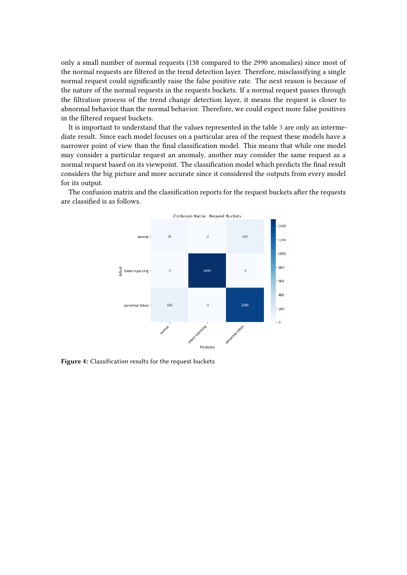only a small number of normal requests (138 compared to the 2990 anomalies) since most of the normal requests are filtered in the trend detection layer. Therefore, misclassifying a single normal request could significantly raise the false positive rate. The next reason is because of the nature of the normal requests in the requests buckets. If a normal request passes through the filtration process of the trend change detection layer, it means the request is closer to abnormal behavior than the normal behavior. Therefore, we could expect more false positives in the filtered request buckets.

It is important to understand that the values represented in the table [3](#page-9-0) are only an intermediate result. Since each model focuses on a particular area of the request these models have a narrower point of view than the final classification model. This means that while one model may consider a particular request an anomaly, another may consider the same request as a normal request based on its viewpoint. The classification model which predicts the final result considers the big picture and more accurate since it considered the outputs from every model for its output.

The confusion matrix and the classification reports for the request buckets after the requests are classified is as follows.



**Figure 4:** Classification results for the request buckets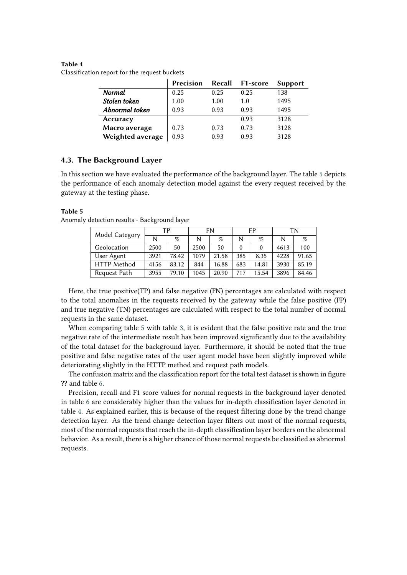#### <span id="page-11-1"></span>**Table 4**

Classification report for the request buckets

|                  | Precision |      | Recall F1-score | <b>Support</b> |
|------------------|-----------|------|-----------------|----------------|
| Normal           | 0.25      | 0.25 | 0.25            | 138            |
| Stolen token     | 1.00      | 1.00 | 1.0             | 1495           |
| Abnormal token   | 0.93      | 0.93 | 0.93            | 1495           |
| Accuracy         |           |      | 0.93            | 3128           |
| Macro average    | 0.73      | 0.73 | 0.73            | 3128           |
| Weighted average | 0.93      | 0.93 | 0.93            | 3128           |

#### **4.3. The Background Layer**

In this section we have evaluated the performance of the background layer. The table [5](#page-11-0) depicts the performance of each anomaly detection model against the every request received by the gateway at the testing phase.

#### <span id="page-11-0"></span>**Table 5**

| Model Category     | ТP   |       | FN   |       | FP  |       | TN   |       |
|--------------------|------|-------|------|-------|-----|-------|------|-------|
|                    |      | $\%$  |      | $\%$  |     | $\%$  | N    | $\%$  |
| Geolocation        | 2500 | 50    | 2500 | 50    |     |       | 4613 | 100   |
| User Agent         | 3921 | 78.42 | 1079 | 21.58 | 385 | 8.35  | 4228 | 91.65 |
| <b>HTTP</b> Method | 4156 | 83.12 | 844  | 16.88 | 683 | 14.81 | 3930 | 85.19 |
| Request Path       | 3955 | 79.10 | 045  | 20.90 | 717 | 15.54 | 3896 | 84.46 |

Anomaly detection results - Background layer

Here, the true positive(TP) and false negative (FN) percentages are calculated with respect to the total anomalies in the requests received by the gateway while the false positive (FP) and true negative (TN) percentages are calculated with respect to the total number of normal requests in the same dataset.

When comparing table [5](#page-11-0) with table [3](#page-9-0), it is evident that the false positive rate and the true negative rate of the intermediate result has been improved significantly due to the availability of the total dataset for the background layer. Furthermore, it should be noted that the true positive and false negative rates of the user agent model have been slightly improved while deteriorating slightly in the HTTP method and request path models.

The confusion matrix and the classification report for the total test dataset is shown in figure **??** and table [6.](#page-12-0)

Precision, recall and F1 score values for normal requests in the background layer denoted in table [6](#page-12-0) are considerably higher than the values for in-depth classification layer denoted in table [4.](#page-11-1) As explained earlier, this is because of the request filtering done by the trend change detection layer. As the trend change detection layer filters out most of the normal requests, most of the normal requests that reach the in-depth classification layer borders on the abnormal behavior. As a result, there is a higher chance of those normal requests be classified as abnormal requests.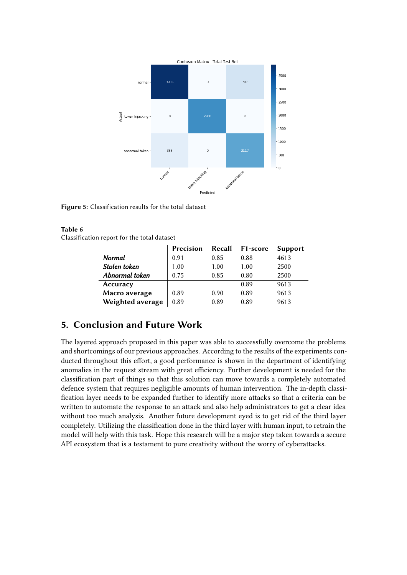

**Figure 5:** Classification results for the total dataset

#### <span id="page-12-0"></span>**Table 6**

Classification report for the total dataset

|                  | Precision | Recall | <b>F1-score</b> | <b>Support</b> |
|------------------|-----------|--------|-----------------|----------------|
| Normal           | 0.91      | 0.85   | 0.88            | 4613           |
| Stolen token     | 1.00      | 1.00   | 1.00            | 2500           |
| Abnormal token   | 0.75      | 0.85   | 0.80            | 2500           |
| Accuracy         |           |        | 0.89            | 9613           |
| Macro average    | 0.89      | 0.90   | 0.89            | 9613           |
| Weighted average | 0.89      | 0.89   | 0.89            | 9613           |

## **5. Conclusion and Future Work**

The layered approach proposed in this paper was able to successfully overcome the problems and shortcomings of our previous approaches. According to the results of the experiments conducted throughout this effort, a good performance is shown in the department of identifying anomalies in the request stream with great efficiency. Further development is needed for the classification part of things so that this solution can move towards a completely automated defence system that requires negligible amounts of human intervention. The in-depth classification layer needs to be expanded further to identify more attacks so that a criteria can be written to automate the response to an attack and also help administrators to get a clear idea without too much analysis. Another future development eyed is to get rid of the third layer completely. Utilizing the classification done in the third layer with human input, to retrain the model will help with this task. Hope this research will be a major step taken towards a secure API ecosystem that is a testament to pure creativity without the worry of cyberattacks.